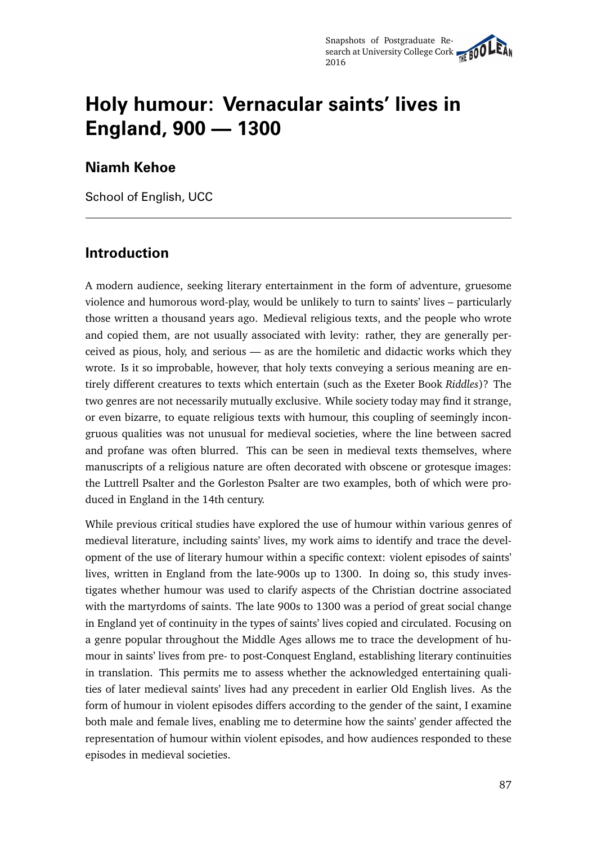# **Holy humour: Vernacular saints' lives in England, 900 — 1300**

### **Niamh Kehoe**

School of English, UCC

## **Introduction**

A modern audience, seeking literary entertainment in the form of adventure, gruesome violence and humorous word-play, would be unlikely to turn to saints' lives – particularly those written a thousand years ago. Medieval religious texts, and the people who wrote and copied them, are not usually associated with levity: rather, they are generally perceived as pious, holy, and serious — as are the homiletic and didactic works which they wrote. Is it so improbable, however, that holy texts conveying a serious meaning are entirely different creatures to texts which entertain (such as the Exeter Book *Riddles*)? The two genres are not necessarily mutually exclusive. While society today may find it strange, or even bizarre, to equate religious texts with humour, this coupling of seemingly incongruous qualities was not unusual for medieval societies, where the line between sacred and profane was often blurred. This can be seen in medieval texts themselves, where manuscripts of a religious nature are often decorated with obscene or grotesque images: the Luttrell Psalter and the Gorleston Psalter are two examples, both of which were produced in England in the 14th century.

While previous critical studies have explored the use of humour within various genres of medieval literature, including saints' lives, my work aims to identify and trace the development of the use of literary humour within a specific context: violent episodes of saints' lives, written in England from the late-900s up to 1300. In doing so, this study investigates whether humour was used to clarify aspects of the Christian doctrine associated with the martyrdoms of saints. The late 900s to 1300 was a period of great social change in England yet of continuity in the types of saints' lives copied and circulated. Focusing on a genre popular throughout the Middle Ages allows me to trace the development of humour in saints' lives from pre- to post-Conquest England, establishing literary continuities in translation. This permits me to assess whether the acknowledged entertaining qualities of later medieval saints' lives had any precedent in earlier Old English lives. As the form of humour in violent episodes differs according to the gender of the saint, I examine both male and female lives, enabling me to determine how the saints' gender affected the representation of humour within violent episodes, and how audiences responded to these episodes in medieval societies.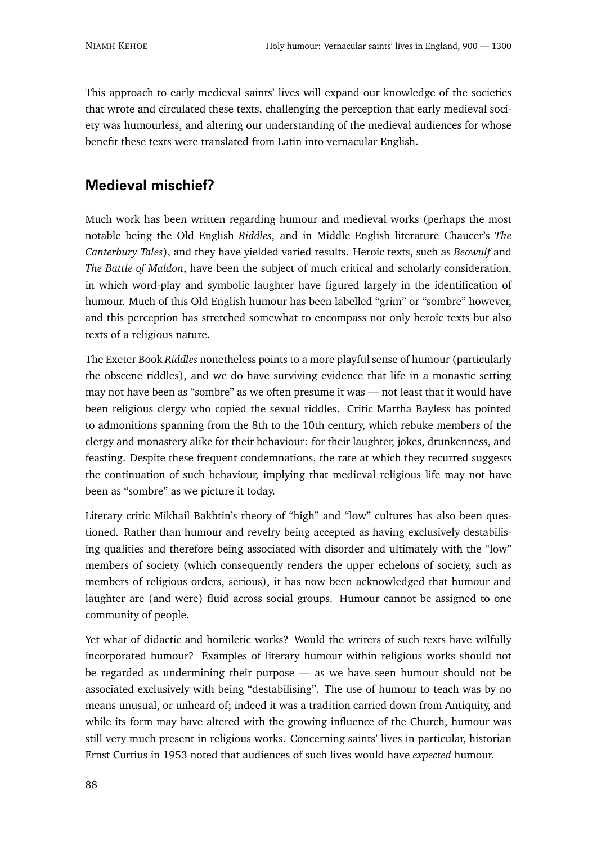This approach to early medieval saints' lives will expand our knowledge of the societies that wrote and circulated these texts, challenging the perception that early medieval society was humourless, and altering our understanding of the medieval audiences for whose benefit these texts were translated from Latin into vernacular English.

# **Medieval mischief?**

Much work has been written regarding humour and medieval works (perhaps the most notable being the Old English *Riddles*, and in Middle English literature Chaucer's *The Canterbury Tales*), and they have yielded varied results. Heroic texts, such as *Beowulf* and *The Battle of Maldon*, have been the subject of much critical and scholarly consideration, in which word-play and symbolic laughter have figured largely in the identification of humour. Much of this Old English humour has been labelled "grim" or "sombre" however, and this perception has stretched somewhat to encompass not only heroic texts but also texts of a religious nature.

The Exeter Book *Riddles* nonetheless points to a more playful sense of humour (particularly the obscene riddles), and we do have surviving evidence that life in a monastic setting may not have been as "sombre" as we often presume it was — not least that it would have been religious clergy who copied the sexual riddles. Critic Martha Bayless has pointed to admonitions spanning from the 8th to the 10th century, which rebuke members of the clergy and monastery alike for their behaviour: for their laughter, jokes, drunkenness, and feasting. Despite these frequent condemnations, the rate at which they recurred suggests the continuation of such behaviour, implying that medieval religious life may not have been as "sombre" as we picture it today.

Literary critic Mikhail Bakhtin's theory of "high" and "low" cultures has also been questioned. Rather than humour and revelry being accepted as having exclusively destabilising qualities and therefore being associated with disorder and ultimately with the "low" members of society (which consequently renders the upper echelons of society, such as members of religious orders, serious), it has now been acknowledged that humour and laughter are (and were) fluid across social groups. Humour cannot be assigned to one community of people.

Yet what of didactic and homiletic works? Would the writers of such texts have wilfully incorporated humour? Examples of literary humour within religious works should not be regarded as undermining their purpose — as we have seen humour should not be associated exclusively with being "destabilising". The use of humour to teach was by no means unusual, or unheard of; indeed it was a tradition carried down from Antiquity, and while its form may have altered with the growing influence of the Church, humour was still very much present in religious works. Concerning saints' lives in particular, historian Ernst Curtius in 1953 noted that audiences of such lives would have *expected* humour.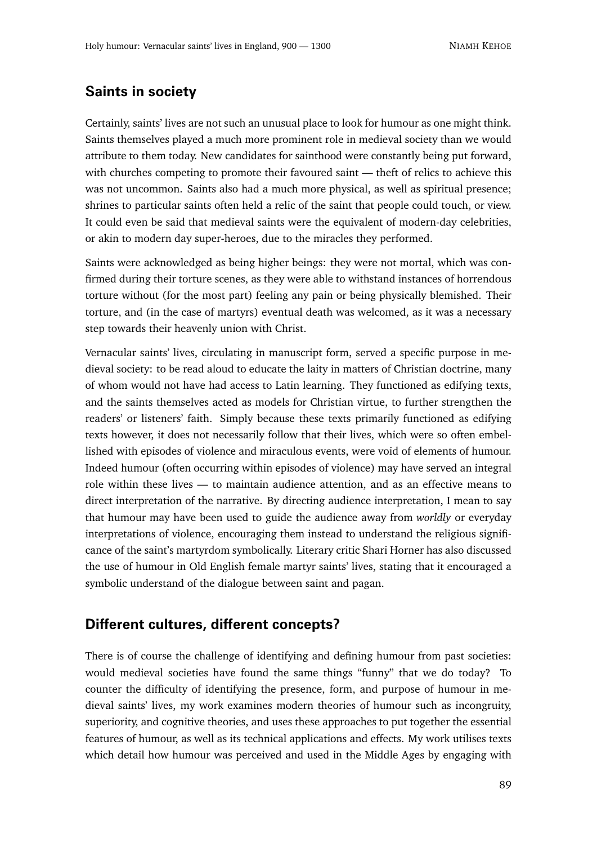#### **Saints in society**

Certainly, saints' lives are not such an unusual place to look for humour as one might think. Saints themselves played a much more prominent role in medieval society than we would attribute to them today. New candidates for sainthood were constantly being put forward, with churches competing to promote their favoured saint — theft of relics to achieve this was not uncommon. Saints also had a much more physical, as well as spiritual presence; shrines to particular saints often held a relic of the saint that people could touch, or view. It could even be said that medieval saints were the equivalent of modern-day celebrities, or akin to modern day super-heroes, due to the miracles they performed.

Saints were acknowledged as being higher beings: they were not mortal, which was confirmed during their torture scenes, as they were able to withstand instances of horrendous torture without (for the most part) feeling any pain or being physically blemished. Their torture, and (in the case of martyrs) eventual death was welcomed, as it was a necessary step towards their heavenly union with Christ.

Vernacular saints' lives, circulating in manuscript form, served a specific purpose in medieval society: to be read aloud to educate the laity in matters of Christian doctrine, many of whom would not have had access to Latin learning. They functioned as edifying texts, and the saints themselves acted as models for Christian virtue, to further strengthen the readers' or listeners' faith. Simply because these texts primarily functioned as edifying texts however, it does not necessarily follow that their lives, which were so often embellished with episodes of violence and miraculous events, were void of elements of humour. Indeed humour (often occurring within episodes of violence) may have served an integral role within these lives — to maintain audience attention, and as an effective means to direct interpretation of the narrative. By directing audience interpretation, I mean to say that humour may have been used to guide the audience away from *worldly* or everyday interpretations of violence, encouraging them instead to understand the religious significance of the saint's martyrdom symbolically. Literary critic Shari Horner has also discussed the use of humour in Old English female martyr saints' lives, stating that it encouraged a symbolic understand of the dialogue between saint and pagan.

#### **Different cultures, different concepts?**

There is of course the challenge of identifying and defining humour from past societies: would medieval societies have found the same things "funny" that we do today? To counter the difficulty of identifying the presence, form, and purpose of humour in medieval saints' lives, my work examines modern theories of humour such as incongruity, superiority, and cognitive theories, and uses these approaches to put together the essential features of humour, as well as its technical applications and effects. My work utilises texts which detail how humour was perceived and used in the Middle Ages by engaging with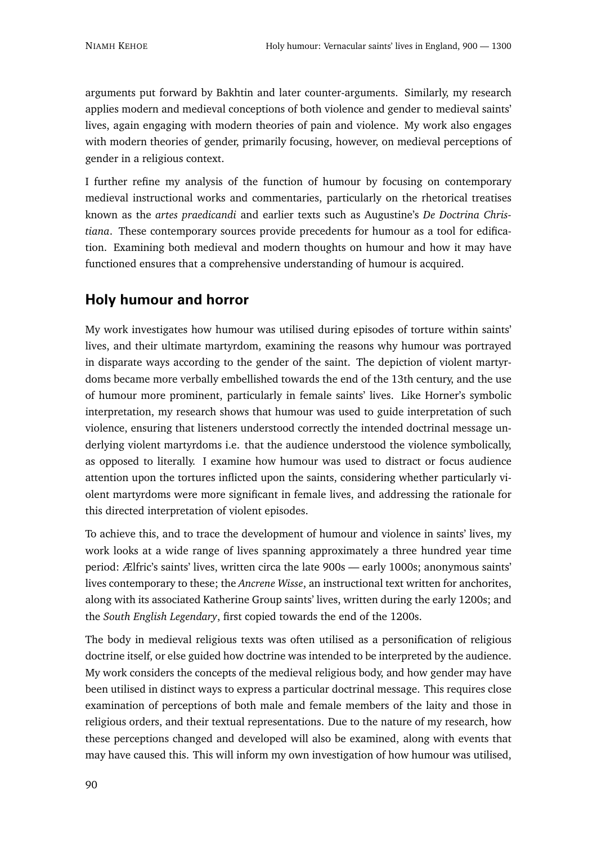arguments put forward by Bakhtin and later counter-arguments. Similarly, my research applies modern and medieval conceptions of both violence and gender to medieval saints' lives, again engaging with modern theories of pain and violence. My work also engages with modern theories of gender, primarily focusing, however, on medieval perceptions of gender in a religious context.

I further refine my analysis of the function of humour by focusing on contemporary medieval instructional works and commentaries, particularly on the rhetorical treatises known as the *artes praedicandi* and earlier texts such as Augustine's *De Doctrina Christiana*. These contemporary sources provide precedents for humour as a tool for edification. Examining both medieval and modern thoughts on humour and how it may have functioned ensures that a comprehensive understanding of humour is acquired.

## **Holy humour and horror**

My work investigates how humour was utilised during episodes of torture within saints' lives, and their ultimate martyrdom, examining the reasons why humour was portrayed in disparate ways according to the gender of the saint. The depiction of violent martyrdoms became more verbally embellished towards the end of the 13th century, and the use of humour more prominent, particularly in female saints' lives. Like Horner's symbolic interpretation, my research shows that humour was used to guide interpretation of such violence, ensuring that listeners understood correctly the intended doctrinal message underlying violent martyrdoms i.e. that the audience understood the violence symbolically, as opposed to literally. I examine how humour was used to distract or focus audience attention upon the tortures inflicted upon the saints, considering whether particularly violent martyrdoms were more significant in female lives, and addressing the rationale for this directed interpretation of violent episodes.

To achieve this, and to trace the development of humour and violence in saints' lives, my work looks at a wide range of lives spanning approximately a three hundred year time period: Ælfric's saints' lives, written circa the late 900s — early 1000s; anonymous saints' lives contemporary to these; the *Ancrene Wisse*, an instructional text written for anchorites, along with its associated Katherine Group saints' lives, written during the early 1200s; and the *South English Legendary*, first copied towards the end of the 1200s.

The body in medieval religious texts was often utilised as a personification of religious doctrine itself, or else guided how doctrine was intended to be interpreted by the audience. My work considers the concepts of the medieval religious body, and how gender may have been utilised in distinct ways to express a particular doctrinal message. This requires close examination of perceptions of both male and female members of the laity and those in religious orders, and their textual representations. Due to the nature of my research, how these perceptions changed and developed will also be examined, along with events that may have caused this. This will inform my own investigation of how humour was utilised,